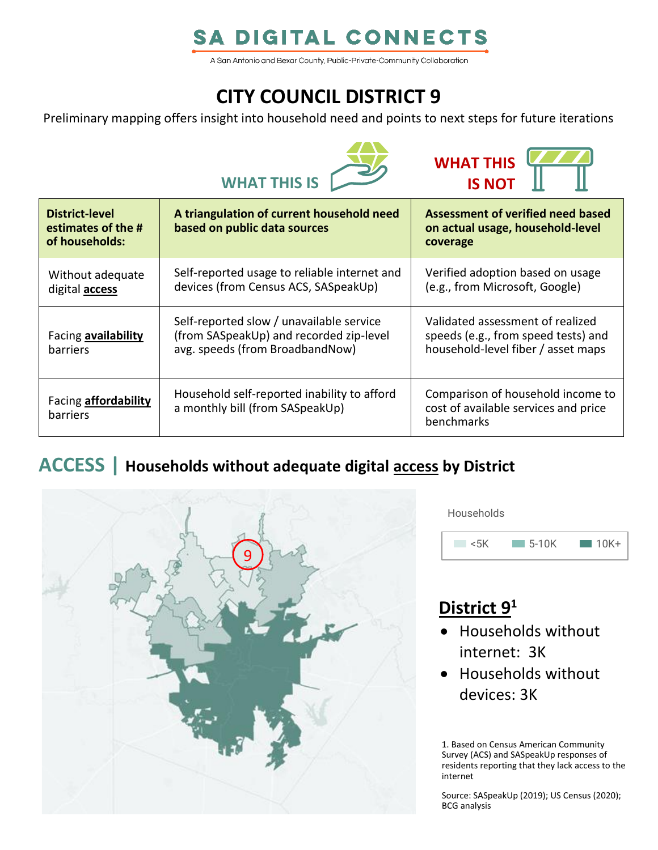# **SA DIGITAL CONNECTS**

A San Antonio and Bexar County, Public-Private-Community Collaboration

# **CITY COUNCIL DISTRICT 9**

Preliminary mapping offers insight into household need and points to next steps for future iterations





| <b>District-level</b><br>estimates of the #<br>of households: | A triangulation of current household need<br>based on public data sources                                              | Assessment of verified need based<br>on actual usage, household-level<br>coverage                             |
|---------------------------------------------------------------|------------------------------------------------------------------------------------------------------------------------|---------------------------------------------------------------------------------------------------------------|
| Without adequate<br>digital <b>access</b>                     | Self-reported usage to reliable internet and<br>devices (from Census ACS, SASpeakUp)                                   | Verified adoption based on usage<br>(e.g., from Microsoft, Google)                                            |
| Facing availability<br><b>barriers</b>                        | Self-reported slow / unavailable service<br>(from SASpeakUp) and recorded zip-level<br>avg. speeds (from BroadbandNow) | Validated assessment of realized<br>speeds (e.g., from speed tests) and<br>household-level fiber / asset maps |
| Facing <b>affordability</b><br>barriers                       | Household self-reported inability to afford<br>a monthly bill (from SASpeakUp)                                         | Comparison of household income to<br>cost of available services and price<br>benchmarks                       |

### **ACCESS | Households without adequate digital access by District**



**Households** 



## **District 9 1**

- Households without internet: 3K
- Households without devices: 3K

1. Based on Census American Community Survey (ACS) and SASpeakUp responses of residents reporting that they lack access to the internet

Source: SASpeakUp (2019); US Census (2020); BCG analysis